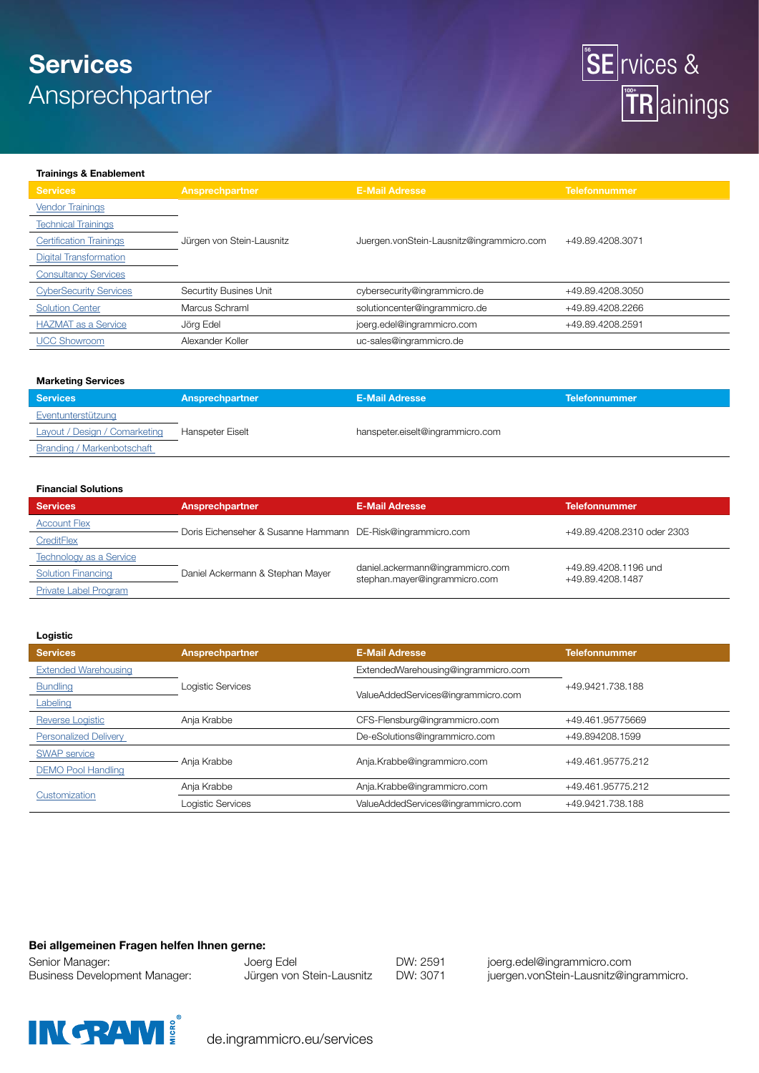# **Services** Ansprechpartner



### **Trainings & Enablement**

| <b>Services</b>                | Ansprechpartner           | <b>E-Mail Adresse</b>                     | <b>Telefonnummer</b> |
|--------------------------------|---------------------------|-------------------------------------------|----------------------|
| <b>Vendor Trainings</b>        |                           |                                           |                      |
| <b>Technical Trainings</b>     |                           |                                           |                      |
| <b>Certification Trainings</b> | Jürgen von Stein-Lausnitz | Juergen.vonStein-Lausnitz@ingrammicro.com | +49.89.4208.3071     |
| <b>Digital Transformation</b>  |                           |                                           |                      |
| <b>Consultancy Services</b>    |                           |                                           |                      |
| <b>CyberSecurity Services</b>  | Securtity Busines Unit    | cybersecurity@ingrammicro.de              | +49.89.4208.3050     |
| <b>Solution Center</b>         | Marcus Schraml            | solutioncenter@ingrammicro.de             | +49.89.4208.2266     |
| <b>HAZMAT</b> as a Service     | Jörg Edel                 | joerg.edel@ingrammicro.com                | +49.89.4208.2591     |
| <b>UCC Showroom</b>            | Alexander Koller          | uc-sales@ingrammicro.de                   |                      |

## **Marketing Services**

| <b>Services</b>                   | Ansprechpartner  | <b>E-Mail Adresse</b>            | <b>Telefonnummer</b> |
|-----------------------------------|------------------|----------------------------------|----------------------|
| Eventunterstützung                |                  |                                  |                      |
| Layout / Design / Comarketing     | Hanspeter Eiselt | hanspeter.eiselt@ingrammicro.com |                      |
| <b>Branding / Markenbotschaft</b> |                  |                                  |                      |

### **Financial Solutions**

| <b>Services</b>                | Ansprechpartner                                             | <b>E-Mail Adresse</b>                                             | <b>Telefonnummer</b>                     |
|--------------------------------|-------------------------------------------------------------|-------------------------------------------------------------------|------------------------------------------|
| <b>Account Flex</b>            | Doris Eichenseher & Susanne Hammann DE-Risk@ingrammicro.com |                                                                   | +49.89.4208.2310 oder 2303               |
| CreditFlex                     |                                                             |                                                                   |                                          |
| <b>Technology as a Service</b> |                                                             |                                                                   |                                          |
| <b>Solution Financing</b>      | Daniel Ackermann & Stephan Mayer                            | daniel.ackermann@ingrammicro.com<br>stephan.mayer@ingrammicro.com | +49.89.4208.1196 und<br>+49.89.4208.1487 |
| Private Label Program          |                                                             |                                                                   |                                          |

#### **Logistic**

| <b>Services</b>              | Ansprechpartner   | <b>E-Mail Adresse</b>               | <b>Telefonnummer</b> |  |
|------------------------------|-------------------|-------------------------------------|----------------------|--|
| <b>Extended Warehousing</b>  |                   | ExtendedWarehousing@ingrammicro.com |                      |  |
| <b>Bundling</b>              | Logistic Services |                                     | +49.9421.738.188     |  |
| Labeling                     |                   | ValueAddedServices@ingrammicro.com  |                      |  |
| Reverse Logistic             | Anja Krabbe       | CFS-Flensburg@ingrammicro.com       | +49.461.95775669     |  |
| <b>Personalized Delivery</b> |                   | De-eSolutions@ingrammicro.com       | +49.894208.1599      |  |
| <b>SWAP</b> service          |                   |                                     |                      |  |
| <b>DEMO Pool Handling</b>    | Anja Krabbe       | Anja.Krabbe@ingrammicro.com         | +49.461.95775.212    |  |
|                              | Anja Krabbe       | Anja.Krabbe@ingrammicro.com         | +49.461.95775.212    |  |
| Customization                | Logistic Services | ValueAddedServices@ingrammicro.com  | +49.9421.738.188     |  |

## **Bei allgemeinen Fragen helfen Ihnen gerne:**

Senior Manager:  $J$ oerg Edel  $J$ DW: 2591 joerg.edel@ingrammicro.com

Business Development Manager: Jürgen von Stein-Lausnitz DW: 3071 juergen.vonStein-Lausnitz@ingrammicro.



de.ingrammicro.eu/services